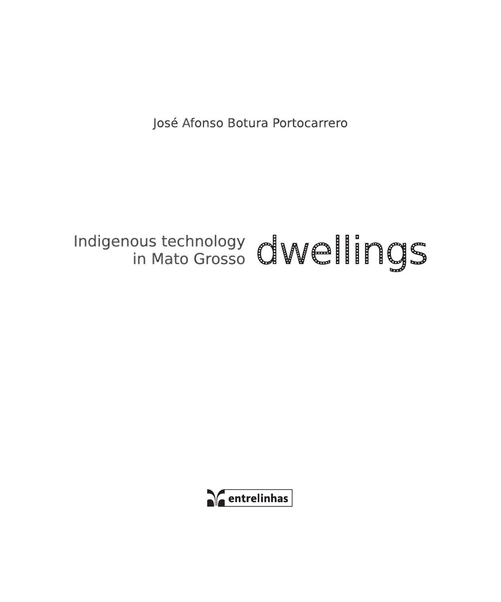José Afonso Botura Portocarrero

# Indigenous technology dwellings

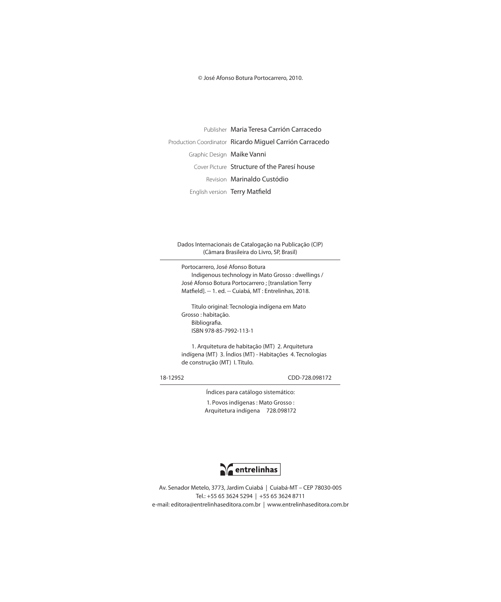© José Afonso Botura Portocarrero, 2010.

Publisher Maria Teresa Carrión Carracedo Production Coordinator Ricardo Miguel Carrión Carracedo Graphic Design Maike Vanni Cover Picture Structure of the Paresí house Revision Marinaldo Custódio English version Terry Matfield

Dados Internacionais de Catalogação na Publicação (CIP) (Câmara Brasileira do Livro, SP, Brasil)

Portocarrero, José Afonso Botura Indigenous technology in Mato Grosso : dwellings / José Afonso Botura Portocarrero ; [translation Terry Matfield]. -- 1. ed. -- Cuiabá, MT : Entrelinhas, 2018.

Título original: Tecnologia indígena em Mato Grosso : habitação. Bibliografia. ISBN 978-85-7992-113-1

1. Arquitetura de habitação (MT) 2. Arquitetura indígena (MT) 3. Índios (MT) - Habitações 4. Tecnologias de construção (MT) I. Título.

18-12952 CDD-728.098172

Índices para catálogo sistemático: 1. Povos indígenas : Mato Grosso : Arquitetura indígena 728.098172



Av. Senador Metelo, 3773, Jardim Cuiabá | Cuiabá-MT – CEP 78030-005 Tel.: +55 65 3624 5294 | +55 65 3624 8711 e-mail: editora@entrelinhaseditora.com.br | www.entrelinhaseditora.com.br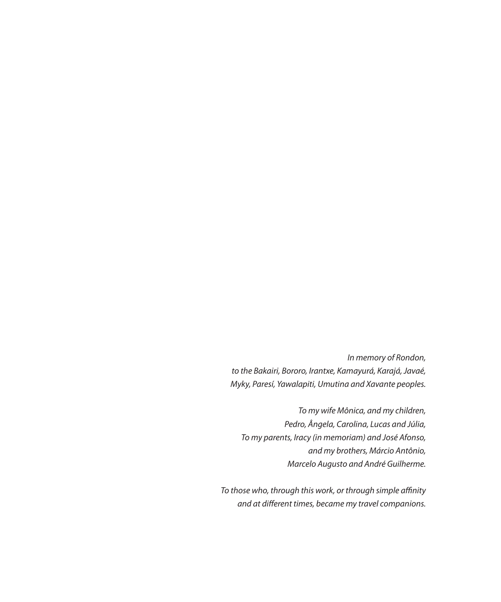*In memory of Rondon, to the Bakairi, Bororo, Irantxe, Kamayurá, Karajá, Javaé, Myky, Paresí, Yawalapiti, Umutina and Xavante peoples.*

*To my wife Mônica, and my children, Pedro, Ângela, Carolina, Lucas and Júlia, To my parents, Iracy (in memoriam) and José Afonso, and my brothers, Márcio Antônio, Marcelo Augusto and André Guilherme.*

*To those who, through this work, or through simple affinity and at different times, became my travel companions.*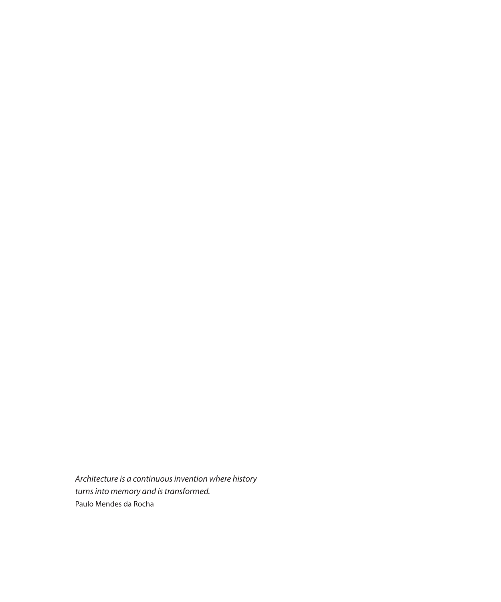*Architecture is a continuous invention where history turns into memory and is transformed.* Paulo Mendes da Rocha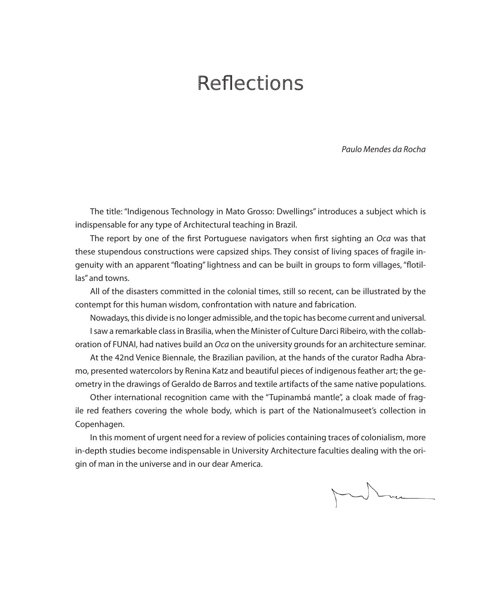### Reflections

*Paulo Mendes da Rocha*

The title: "Indigenous Technology in Mato Grosso: Dwellings" introduces a subject which is indispensable for any type of Architectural teaching in Brazil.

The report by one of the first Portuguese navigators when first sighting an *Oca* was that these stupendous constructions were capsized ships. They consist of living spaces of fragile ingenuity with an apparent "floating" lightness and can be built in groups to form villages, "flotillas" and towns.

All of the disasters committed in the colonial times, still so recent, can be illustrated by the contempt for this human wisdom, confrontation with nature and fabrication.

Nowadays, this divide is no longer admissible, and the topic has become current and universal. I saw a remarkable class in Brasilia, when the Minister of Culture Darci Ribeiro, with the collaboration of FUNAI, had natives build an *Oca* on the university grounds for an architecture seminar.

At the 42nd Venice Biennale, the Brazilian pavilion, at the hands of the curator Radha Abramo, presented watercolors by Renina Katz and beautiful pieces of indigenous feather art; the geometry in the drawings of Geraldo de Barros and textile artifacts of the same native populations.

Other international recognition came with the "Tupinambá mantle", a cloak made of fragile red feathers covering the whole body, which is part of the Nationalmuseet's collection in Copenhagen.

In this moment of urgent need for a review of policies containing traces of colonialism, more in-depth studies become indispensable in University Architecture faculties dealing with the origin of man in the universe and in our dear America.

When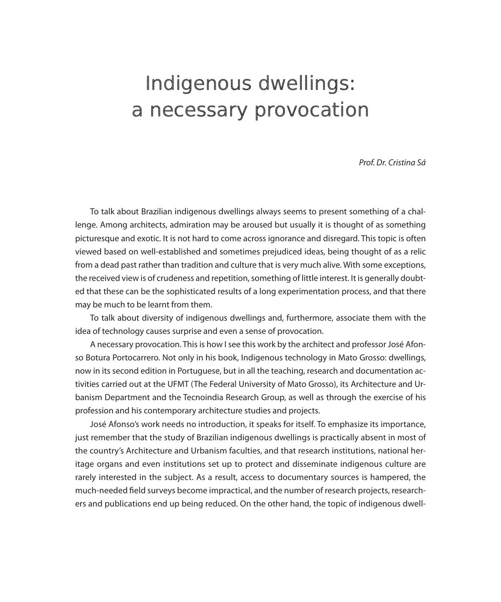## Indigenous dwellings: a necessary provocation

*Prof. Dr. Cristina Sá*

To talk about Brazilian indigenous dwellings always seems to present something of a challenge. Among architects, admiration may be aroused but usually it is thought of as something picturesque and exotic. It is not hard to come across ignorance and disregard. This topic is often viewed based on well-established and sometimes prejudiced ideas, being thought of as a relic from a dead past rather than tradition and culture that is very much alive. With some exceptions, the received view is of crudeness and repetition, something of little interest. It is generally doubted that these can be the sophisticated results of a long experimentation process, and that there may be much to be learnt from them.

To talk about diversity of indigenous dwellings and, furthermore, associate them with the idea of technology causes surprise and even a sense of provocation.

A necessary provocation. This is how I see this work by the architect and professor José Afonso Botura Portocarrero. Not only in his book, Indigenous technology in Mato Grosso: dwellings, now in its second edition in Portuguese, but in all the teaching, research and documentation activities carried out at the UFMT (The Federal University of Mato Grosso), its Architecture and Urbanism Department and the Tecnoindia Research Group, as well as through the exercise of his profession and his contemporary architecture studies and projects.

José Afonso's work needs no introduction, it speaks for itself. To emphasize its importance, just remember that the study of Brazilian indigenous dwellings is practically absent in most of the country's Architecture and Urbanism faculties, and that research institutions, national heritage organs and even institutions set up to protect and disseminate indigenous culture are rarely interested in the subject. As a result, access to documentary sources is hampered, the much-needed field surveys become impractical, and the number of research projects, researchers and publications end up being reduced. On the other hand, the topic of indigenous dwell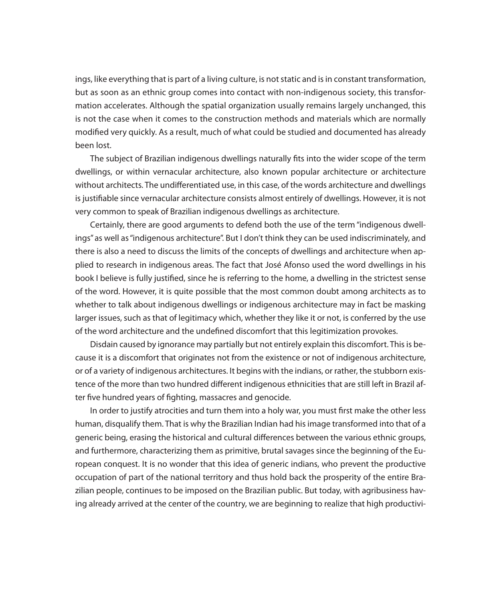ings, like everything that is part of a living culture, is not static and is in constant transformation, but as soon as an ethnic group comes into contact with non-indigenous society, this transformation accelerates. Although the spatial organization usually remains largely unchanged, this is not the case when it comes to the construction methods and materials which are normally modified very quickly. As a result, much of what could be studied and documented has already been lost.

The subject of Brazilian indigenous dwellings naturally fits into the wider scope of the term dwellings, or within vernacular architecture, also known popular architecture or architecture without architects. The undifferentiated use, in this case, of the words architecture and dwellings is justifiable since vernacular architecture consists almost entirely of dwellings. However, it is not very common to speak of Brazilian indigenous dwellings as architecture.

Certainly, there are good arguments to defend both the use of the term "indigenous dwellings" as well as "indigenous architecture". But I don't think they can be used indiscriminately, and there is also a need to discuss the limits of the concepts of dwellings and architecture when applied to research in indigenous areas. The fact that José Afonso used the word dwellings in his book I believe is fully justified, since he is referring to the home, a dwelling in the strictest sense of the word. However, it is quite possible that the most common doubt among architects as to whether to talk about indigenous dwellings or indigenous architecture may in fact be masking larger issues, such as that of legitimacy which, whether they like it or not, is conferred by the use of the word architecture and the undefined discomfort that this legitimization provokes.

Disdain caused by ignorance may partially but not entirely explain this discomfort. This is because it is a discomfort that originates not from the existence or not of indigenous architecture, or of a variety of indigenous architectures. It begins with the indians, or rather, the stubborn existence of the more than two hundred different indigenous ethnicities that are still left in Brazil after five hundred years of fighting, massacres and genocide.

In order to justify atrocities and turn them into a holy war, you must first make the other less human, disqualify them. That is why the Brazilian Indian had his image transformed into that of a generic being, erasing the historical and cultural differences between the various ethnic groups, and furthermore, characterizing them as primitive, brutal savages since the beginning of the European conquest. It is no wonder that this idea of generic indians, who prevent the productive occupation of part of the national territory and thus hold back the prosperity of the entire Brazilian people, continues to be imposed on the Brazilian public. But today, with agribusiness having already arrived at the center of the country, we are beginning to realize that high productivi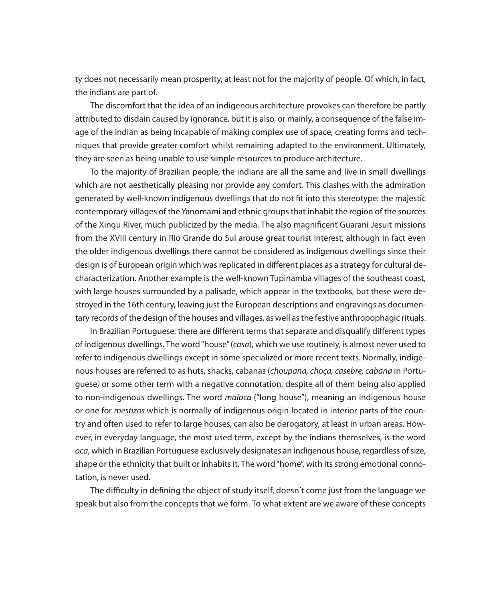ty does not necessarily mean prosperity, at least not for the majority of people. Of which, in fact, the indians are part of.

The discomfort that the idea of an indigenous architecture provokes can therefore be partly attributed to disdain caused by ignorance, but it is also, or mainly, a consequence of the false image of the indian as being incapable of making complex use of space, creating forms and techniques that provide greater comfort whilst remaining adapted to the environment. Ultimately, they are seen as being unable to use simple resources to produce architecture.

To the majority of Brazilian people, the indians are all the same and live in small dwellings which are not aesthetically pleasing nor provide any comfort. This clashes with the admiration generated by well-known indigenous dwellings that do not fit into this stereotype: the majestic contemporary villages of the Yanomami and ethnic groups that inhabit the region of the sources of the Xingu River, much publicized by the media. The also magnificent Guarani Jesuit missions from the XVIII century in Rio Grande do Sul arouse great tourist interest, although in fact even the older indigenous dwellings there cannot be considered as indigenous dwellings since their design is of European origin which was replicated in different places as a strategy for cultural decharacterization. Another example is the well-known Tupinambá villages of the southeast coast, with large houses surrounded by a palisade, which appear in the textbooks, but these were destroyed in the 16th century, leaving just the European descriptions and engravings as documentary records of the design of the houses and villages, as well as the festive anthropophagic rituals.

In Brazilian Portuguese, there are different terms that separate and disqualify different types of indigenous dwellings. The word "house" (*casa*), which we use routinely, is almost never used to refer to indigenous dwellings except in some specialized or more recent texts. Normally, indigenous houses are referred to as huts, shacks, cabanas (*choupana, choça, casebre, cabana* in Portuguese*)* or some other term with a negative connotation, despite all of them being also applied to non-indigenous dwellings. The word *maloca* ("long house"), meaning an indigenous house or one for *mestizos* which is normally of indigenous origin located in interior parts of the country and often used to refer to large houses, can also be derogatory, at least in urban areas. However, in everyday language, the most used term, except by the indians themselves, is the word *oca*, which in Brazilian Portuguese exclusively designates an indigenous house, regardless of size, shape or the ethnicity that built or inhabits it. The word "home", with its strong emotional connotation, is never used.

The difficulty in defining the object of study itself, doesn´t come just from the language we speak but also from the concepts that we form. To what extent are we aware of these concepts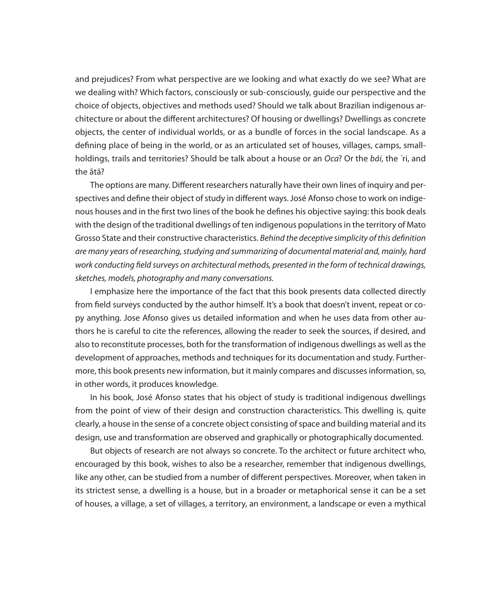and prejudices? From what perspective are we looking and what exactly do we see? What are we dealing with? Which factors, consciously or sub-consciously, guide our perspective and the choice of objects, objectives and methods used? Should we talk about Brazilian indigenous architecture or about the different architectures? Of housing or dwellings? Dwellings as concrete objects, the center of individual worlds, or as a bundle of forces in the social landscape. As a defining place of being in the world, or as an articulated set of houses, villages, camps, smallholdings, trails and territories? Should be talk about a house or an *Oca*? Or the *bái*, the ´ri, and the ãtã?

The options are many. Different researchers naturally have their own lines of inquiry and perspectives and define their object of study in different ways. José Afonso chose to work on indigenous houses and in the first two lines of the book he defines his objective saying: this book deals with the design of the traditional dwellings of ten indigenous populations in the territory of Mato Grosso State and their constructive characteristics. *Behind the deceptive simplicity of this definition are many years of researching, studying and summarizing of documental material and, mainly, hard work conducting field surveys on architectural methods, presented in the form of technical drawings, sketches, models, photography and many conversations.*

I emphasize here the importance of the fact that this book presents data collected directly from field surveys conducted by the author himself. It's a book that doesn't invent, repeat or copy anything. Jose Afonso gives us detailed information and when he uses data from other authors he is careful to cite the references, allowing the reader to seek the sources, if desired, and also to reconstitute processes, both for the transformation of indigenous dwellings as well as the development of approaches, methods and techniques for its documentation and study. Furthermore, this book presents new information, but it mainly compares and discusses information, so, in other words, it produces knowledge.

In his book, José Afonso states that his object of study is traditional indigenous dwellings from the point of view of their design and construction characteristics. This dwelling is, quite clearly, a house in the sense of a concrete object consisting of space and building material and its design, use and transformation are observed and graphically or photographically documented.

But objects of research are not always so concrete. To the architect or future architect who, encouraged by this book, wishes to also be a researcher, remember that indigenous dwellings, like any other, can be studied from a number of different perspectives. Moreover, when taken in its strictest sense, a dwelling is a house, but in a broader or metaphorical sense it can be a set of houses, a village, a set of villages, a territory, an environment, a landscape or even a mythical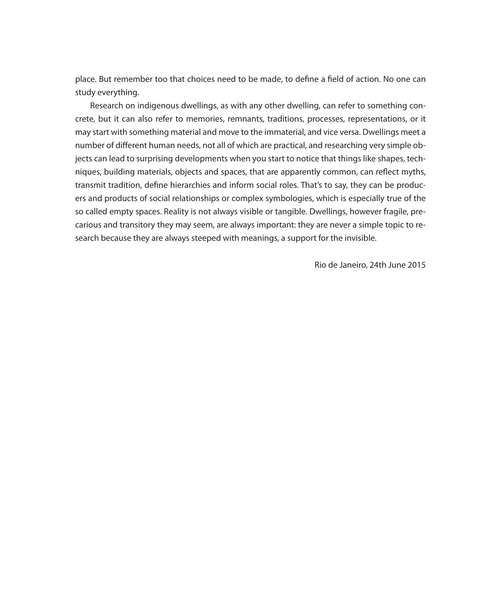place. But remember too that choices need to be made, to define a field of action. No one can study everything.

Research on indigenous dwellings, as with any other dwelling, can refer to something concrete, but it can also refer to memories, remnants, traditions, processes, representations, or it may start with something material and move to the immaterial, and vice versa. Dwellings meet a number of different human needs, not all of which are practical, and researching very simple objects can lead to surprising developments when you start to notice that things like shapes, techniques, building materials, objects and spaces, that are apparently common, can reflect myths, transmit tradition, define hierarchies and inform social roles. That's to say, they can be producers and products of social relationships or complex symbologies, which is especially true of the so called empty spaces. Reality is not always visible or tangible. Dwellings, however fragile, precarious and transitory they may seem, are always important: they are never a simple topic to research because they are always steeped with meanings, a support for the invisible.

Rio de Janeiro, 24th June 2015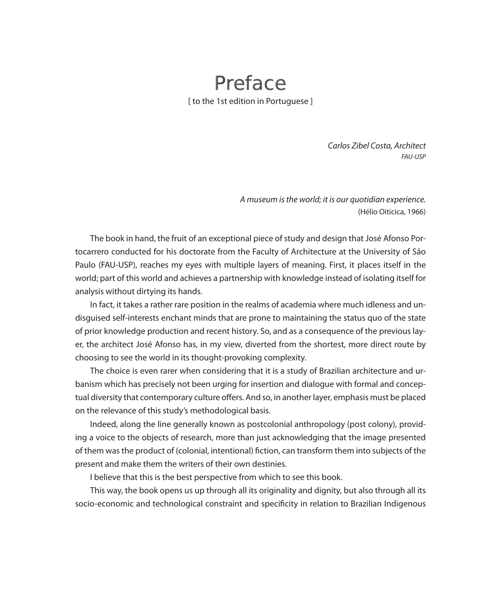#### Preface [ to the 1st edition in Portuguese ]

*Carlos Zibel Costa, Architect FAU-USP*

*A museum is the world; it is our quotidian experience.* (Hélio Oiticica, 1966)

The book in hand, the fruit of an exceptional piece of study and design that José Afonso Portocarrero conducted for his doctorate from the Faculty of Architecture at the University of São Paulo (FAU-USP), reaches my eyes with multiple layers of meaning. First, it places itself in the world; part of this world and achieves a partnership with knowledge instead of isolating itself for analysis without dirtying its hands.

In fact, it takes a rather rare position in the realms of academia where much idleness and undisguised self-interests enchant minds that are prone to maintaining the status quo of the state of prior knowledge production and recent history. So, and as a consequence of the previous layer, the architect José Afonso has, in my view, diverted from the shortest, more direct route by choosing to see the world in its thought-provoking complexity.

The choice is even rarer when considering that it is a study of Brazilian architecture and urbanism which has precisely not been urging for insertion and dialogue with formal and conceptual diversity that contemporary culture offers. And so, in another layer, emphasis must be placed on the relevance of this study's methodological basis.

Indeed, along the line generally known as postcolonial anthropology (post colony), providing a voice to the objects of research, more than just acknowledging that the image presented of them was the product of (colonial, intentional) fiction, can transform them into subjects of the present and make them the writers of their own destinies.

I believe that this is the best perspective from which to see this book.

This way, the book opens us up through all its originality and dignity, but also through all its socio-economic and technological constraint and specificity in relation to Brazilian Indigenous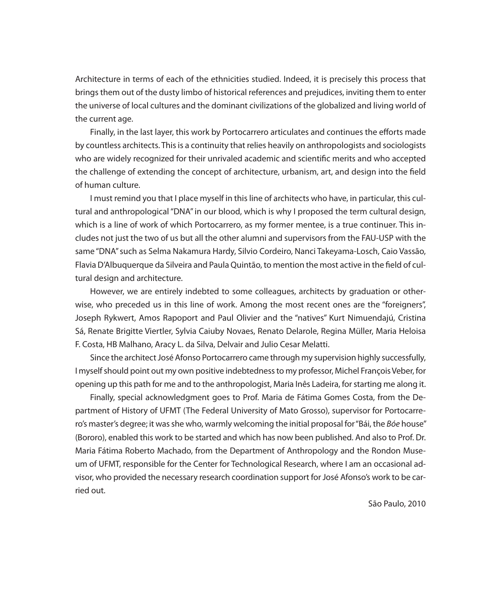Architecture in terms of each of the ethnicities studied. Indeed, it is precisely this process that brings them out of the dusty limbo of historical references and prejudices, inviting them to enter the universe of local cultures and the dominant civilizations of the globalized and living world of the current age.

Finally, in the last layer, this work by Portocarrero articulates and continues the efforts made by countless architects. This is a continuity that relies heavily on anthropologists and sociologists who are widely recognized for their unrivaled academic and scientific merits and who accepted the challenge of extending the concept of architecture, urbanism, art, and design into the field of human culture.

I must remind you that I place myself in this line of architects who have, in particular, this cultural and anthropological "DNA" in our blood, which is why I proposed the term cultural design, which is a line of work of which Portocarrero, as my former mentee, is a true continuer. This includes not just the two of us but all the other alumni and supervisors from the FAU-USP with the same "DNA" such as Selma Nakamura Hardy, Silvio Cordeiro, Nanci Takeyama-Losch, Caio Vassão, Flavia D'Albuquerque da Silveira and Paula Quintão, to mention the most active in the field of cultural design and architecture.

However, we are entirely indebted to some colleagues, architects by graduation or otherwise, who preceded us in this line of work. Among the most recent ones are the "foreigners", Joseph Rykwert, Amos Rapoport and Paul Olivier and the "natives" Kurt Nimuendajú, Cristina Sá, Renate Brigitte Viertler, Sylvia Caiuby Novaes, Renato Delarole, Regina Müller, Maria Heloisa F. Costa, HB Malhano, Aracy L. da Silva, Delvair and Julio Cesar Melatti.

Since the architect José Afonso Portocarrero came through my supervision highly successfully, I myself should point out my own positive indebtedness to my professor, Michel François Veber, for opening up this path for me and to the anthropologist, Maria Inês Ladeira, for starting me along it.

Finally, special acknowledgment goes to Prof. Maria de Fátima Gomes Costa, from the Department of History of UFMT (The Federal University of Mato Grosso), supervisor for Portocarrero's master's degree; it was she who, warmly welcoming the initial proposal for "Bái, the *Bóe* house" (Bororo), enabled this work to be started and which has now been published. And also to Prof. Dr. Maria Fátima Roberto Machado, from the Department of Anthropology and the Rondon Museum of UFMT, responsible for the Center for Technological Research, where I am an occasional advisor, who provided the necessary research coordination support for José Afonso's work to be carried out.

São Paulo, 2010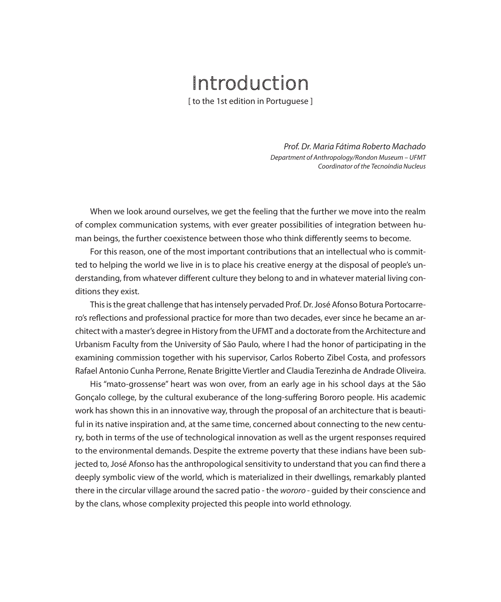## Introduction

[ to the 1st edition in Portuguese ]

*Prof. Dr. Maria Fátima Roberto Machado Department of Anthropology/Rondon Museum – UFMT Coordinator of the Tecnoíndia Nucleus*

When we look around ourselves, we get the feeling that the further we move into the realm of complex communication systems, with ever greater possibilities of integration between human beings, the further coexistence between those who think differently seems to become.

For this reason, one of the most important contributions that an intellectual who is committed to helping the world we live in is to place his creative energy at the disposal of people's understanding, from whatever different culture they belong to and in whatever material living conditions they exist.

This is the great challenge that has intensely pervaded Prof. Dr. José Afonso Botura Portocarrero's reflections and professional practice for more than two decades, ever since he became an architect with a master's degree in History from the UFMT and a doctorate from the Architecture and Urbanism Faculty from the University of São Paulo, where I had the honor of participating in the examining commission together with his supervisor, Carlos Roberto Zibel Costa, and professors Rafael Antonio Cunha Perrone, Renate Brigitte Viertler and Claudia Terezinha de Andrade Oliveira.

His "mato-grossense" heart was won over, from an early age in his school days at the São Gonçalo college, by the cultural exuberance of the long-suffering Bororo people. His academic work has shown this in an innovative way, through the proposal of an architecture that is beautiful in its native inspiration and, at the same time, concerned about connecting to the new century, both in terms of the use of technological innovation as well as the urgent responses required to the environmental demands. Despite the extreme poverty that these indians have been subjected to, José Afonso has the anthropological sensitivity to understand that you can find there a deeply symbolic view of the world, which is materialized in their dwellings, remarkably planted there in the circular village around the sacred patio - the *wororo* - guided by their conscience and by the clans, whose complexity projected this people into world ethnology.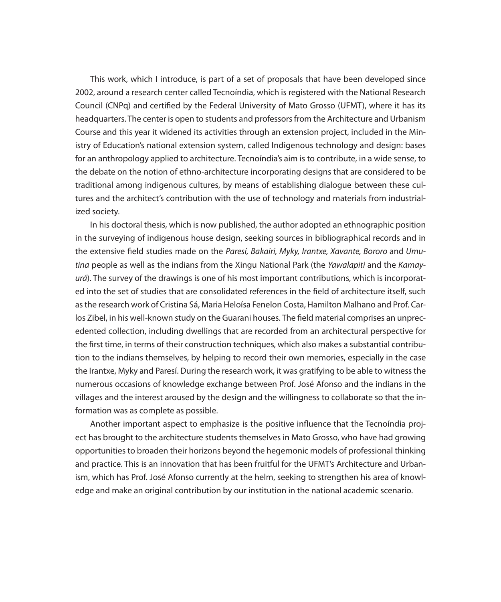This work, which I introduce, is part of a set of proposals that have been developed since 2002, around a research center called Tecnoíndia, which is registered with the National Research Council (CNPq) and certified by the Federal University of Mato Grosso (UFMT), where it has its headquarters. The center is open to students and professors from the Architecture and Urbanism Course and this year it widened its activities through an extension project, included in the Ministry of Education's national extension system, called Indigenous technology and design: bases for an anthropology applied to architecture. Tecnoíndia's aim is to contribute, in a wide sense, to the debate on the notion of ethno-architecture incorporating designs that are considered to be traditional among indigenous cultures, by means of establishing dialogue between these cultures and the architect's contribution with the use of technology and materials from industrialized society.

In his doctoral thesis, which is now published, the author adopted an ethnographic position in the surveying of indigenous house design, seeking sources in bibliographical records and in the extensive field studies made on the *Paresí, Bakairi, Myky, Irantxe, Xavante, Bororo* and *Umutina* people as well as the indians from the Xingu National Park (the *Yawalapiti* and the *Kamayurá*). The survey of the drawings is one of his most important contributions, which is incorporated into the set of studies that are consolidated references in the field of architecture itself, such as the research work of Cristina Sá, Maria Heloísa Fenelon Costa, Hamilton Malhano and Prof. Carlos Zibel, in his well-known study on the Guarani houses. The field material comprises an unprecedented collection, including dwellings that are recorded from an architectural perspective for the first time, in terms of their construction techniques, which also makes a substantial contribution to the indians themselves, by helping to record their own memories, especially in the case the Irantxe, Myky and Paresí. During the research work, it was gratifying to be able to witness the numerous occasions of knowledge exchange between Prof. José Afonso and the indians in the villages and the interest aroused by the design and the willingness to collaborate so that the information was as complete as possible.

Another important aspect to emphasize is the positive influence that the Tecnoíndia project has brought to the architecture students themselves in Mato Grosso, who have had growing opportunities to broaden their horizons beyond the hegemonic models of professional thinking and practice. This is an innovation that has been fruitful for the UFMT's Architecture and Urbanism, which has Prof. José Afonso currently at the helm, seeking to strengthen his area of knowledge and make an original contribution by our institution in the national academic scenario.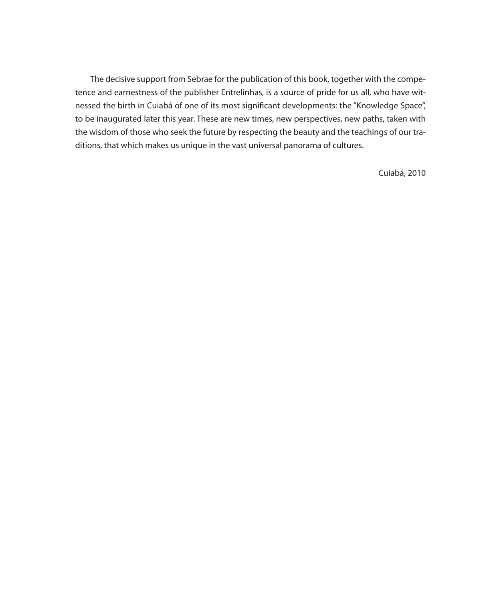The decisive support from Sebrae for the publication of this book, together with the competence and earnestness of the publisher Entrelinhas, is a source of pride for us all, who have witnessed the birth in Cuiabá of one of its most significant developments: the "Knowledge Space", to be inaugurated later this year. These are new times, new perspectives, new paths, taken with the wisdom of those who seek the future by respecting the beauty and the teachings of our traditions, that which makes us unique in the vast universal panorama of cultures.

Cuiabá, 2010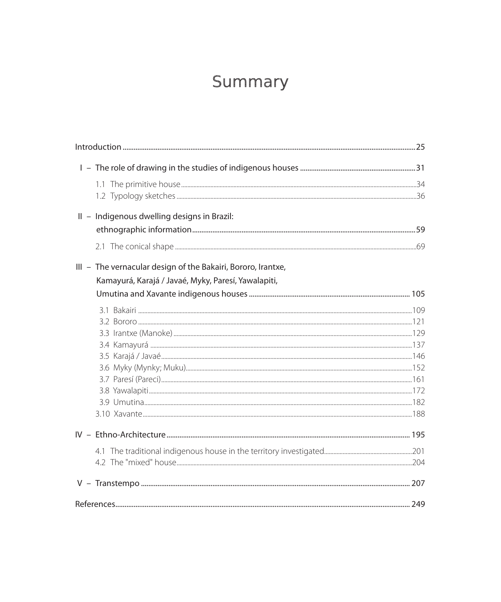#### Summary

| II - Indigenous dwelling designs in Brazil:                  |  |
|--------------------------------------------------------------|--|
|                                                              |  |
|                                                              |  |
| III - The vernacular design of the Bakairi, Bororo, Irantxe, |  |
| Kamayurá, Karajá / Javaé, Myky, Paresí, Yawalapiti,          |  |
|                                                              |  |
|                                                              |  |
|                                                              |  |
|                                                              |  |
|                                                              |  |
|                                                              |  |
|                                                              |  |
|                                                              |  |
|                                                              |  |
|                                                              |  |
|                                                              |  |
|                                                              |  |
|                                                              |  |
|                                                              |  |
|                                                              |  |
|                                                              |  |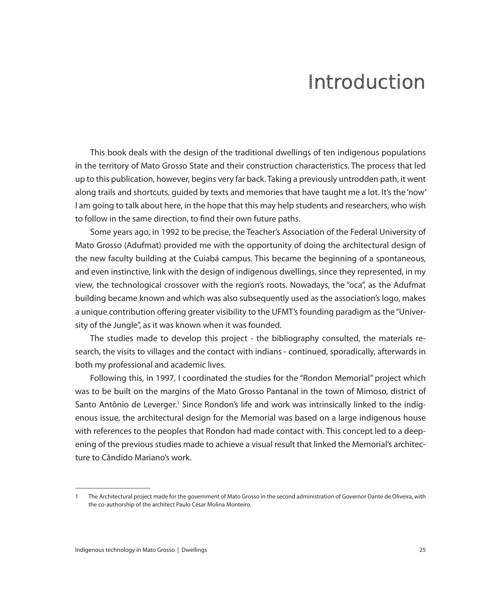### Introduction

This book deals with the design of the traditional dwellings of ten indigenous populations in the territory of Mato Grosso State and their construction characteristics. The process that led up to this publication, however, begins very far back. Taking a previously untrodden path, it went along trails and shortcuts, guided by texts and memories that have taught me a lot. It's the 'now' I am going to talk about here, in the hope that this may help students and researchers, who wish to follow in the same direction, to find their own future paths.

Some years ago, in 1992 to be precise, the Teacher's Association of the Federal University of Mato Grosso (Adufmat) provided me with the opportunity of doing the architectural design of the new faculty building at the Cuiabá campus. This became the beginning of a spontaneous, and even instinctive, link with the design of indigenous dwellings, since they represented, in my view, the technological crossover with the region's roots. Nowadays, the "oca", as the Adufmat building became known and which was also subsequently used as the association's logo, makes a unique contribution offering greater visibility to the UFMT's founding paradigm as the "University of the Jungle", as it was known when it was founded.

The studies made to develop this project - the bibliography consulted, the materials research, the visits to villages and the contact with indians - continued, sporadically, afterwards in both my professional and academic lives.

Following this, in 1997, I coordinated the studies for the "Rondon Memorial" project which was to be built on the margins of the Mato Grosso Pantanal in the town of Mimoso, district of Santo Antônio de Leverger.<sup>1</sup> Since Rondon's life and work was intrinsically linked to the indigenous issue, the architectural design for the Memorial was based on a large indigenous house with references to the peoples that Rondon had made contact with. This concept led to a deepening of the previous studies made to achieve a visual result that linked the Memorial's architecture to Cândido Mariano's work.

<sup>1</sup> The Architectural project made for the government of Mato Grosso in the second administration of Governor Dante de Oliveira, with the co-authorship of the architect Paulo César Molina Monteiro.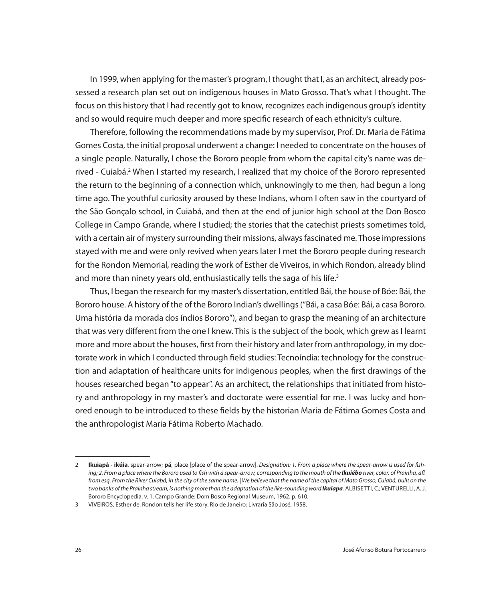In 1999, when applying for the master's program, I thought that I, as an architect, already possessed a research plan set out on indigenous houses in Mato Grosso. That's what I thought. The focus on this history that I had recently got to know, recognizes each indigenous group's identity and so would require much deeper and more specific research of each ethnicity's culture.

Therefore, following the recommendations made by my supervisor, Prof. Dr. Maria de Fátima Gomes Costa, the initial proposal underwent a change: I needed to concentrate on the houses of a single people. Naturally, I chose the Bororo people from whom the capital city's name was derived - Cuiabá.2 When I started my research, I realized that my choice of the Bororo represented the return to the beginning of a connection which, unknowingly to me then, had begun a long time ago. The youthful curiosity aroused by these Indians, whom I often saw in the courtyard of the São Gonçalo school, in Cuiabá, and then at the end of junior high school at the Don Bosco College in Campo Grande, where I studied; the stories that the catechist priests sometimes told, with a certain air of mystery surrounding their missions, always fascinated me. Those impressions stayed with me and were only revived when years later I met the Bororo people during research for the Rondon Memorial, reading the work of Esther de Viveiros, in which Rondon, already blind and more than ninety years old, enthusiastically tells the saga of his life.<sup>3</sup>

Thus, I began the research for my master's dissertation, entitled Bái, the house of Bóe: Bái, the Bororo house. A history of the of the Bororo Indian's dwellings ("Bái, a casa Bóe: Bái, a casa Bororo. Uma história da morada dos índios Bororo"), and began to grasp the meaning of an architecture that was very different from the one I knew. This is the subject of the book, which grew as I learnt more and more about the houses, first from their history and later from anthropology, in my doctorate work in which I conducted through field studies: Tecnoíndia: technology for the construction and adaptation of healthcare units for indigenous peoples, when the first drawings of the houses researched began "to appear". As an architect, the relationships that initiated from history and anthropology in my master's and doctorate were essential for me. I was lucky and honored enough to be introduced to these fields by the historian Maria de Fátima Gomes Costa and the anthropologist Maria Fátima Roberto Machado.

<sup>2</sup> **Ikuiapá - ikúia**, spear-arrow; **pá**, place [place of the spear-arrow]. *Designation: 1. From a place where the spear-arrow is used for fish*ing; 2. From a place where the Bororo used to fish with a spear-arrow, corresponding to the mouth of the **Ikuiébo** river, color. of Prainha, afl. *from esq. From the River Cuiabá, in the city of the same name. | We believe that the name of the capital of Mato Grosso, Cuiabá, built on the two banks of the Prainha stream, is nothing more than the adaptation of the like-sounding word Ikuiapa.* ALBISETTI, C.; VENTURELLI, A. J. Bororo Encyclopedia. v. 1. Campo Grande: Dom Bosco Regional Museum, 1962. p. 610.

<sup>3</sup> VIVEIROS, Esther de. Rondon tells her life story. Rio de Janeiro: Livraria São José, 1958.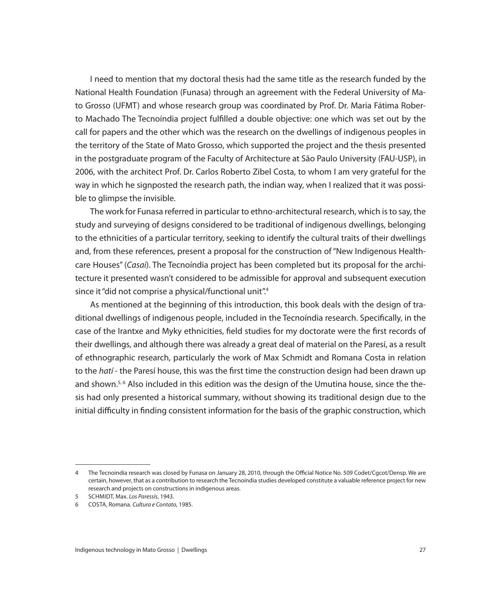I need to mention that my doctoral thesis had the same title as the research funded by the National Health Foundation (Funasa) through an agreement with the Federal University of Mato Grosso (UFMT) and whose research group was coordinated by Prof. Dr. Maria Fátima Roberto Machado The Tecnoíndia project fulfilled a double objective: one which was set out by the call for papers and the other which was the research on the dwellings of indigenous peoples in the territory of the State of Mato Grosso, which supported the project and the thesis presented in the postgraduate program of the Faculty of Architecture at São Paulo University (FAU-USP), in 2006, with the architect Prof. Dr. Carlos Roberto Zibel Costa, to whom I am very grateful for the way in which he signposted the research path, the indian way, when I realized that it was possible to glimpse the invisible.

The work for Funasa referred in particular to ethno-architectural research, which is to say, the study and surveying of designs considered to be traditional of indigenous dwellings, belonging to the ethnicities of a particular territory, seeking to identify the cultural traits of their dwellings and, from these references, present a proposal for the construction of "New Indigenous Healthcare Houses" (*Casai*). The Tecnoíndia project has been completed but its proposal for the architecture it presented wasn't considered to be admissible for approval and subsequent execution since it "did not comprise a physical/functional unit".<sup>4</sup>

As mentioned at the beginning of this introduction, this book deals with the design of traditional dwellings of indigenous people, included in the Tecnoíndia research. Specifically, in the case of the Irantxe and Myky ethnicities, field studies for my doctorate were the first records of their dwellings, and although there was already a great deal of material on the Paresí, as a result of ethnographic research, particularly the work of Max Schmidt and Romana Costa in relation to the *hatí* - the Paresí house, this was the first time the construction design had been drawn up and shown.<sup>5,6</sup> Also included in this edition was the design of the Umutina house, since the thesis had only presented a historical summary, without showing its traditional design due to the initial difficulty in finding consistent information for the basis of the graphic construction, which

<sup>4</sup> The Tecnoindia research was closed by Funasa on January 28, 2010, through the Official Notice No. 509 Codet/Cgcot/Densp. We are certain, however, that as a contribution to research the Tecnoíndia studies developed constitute a valuable reference project for new research and projects on constructions in indigenous areas.

<sup>5</sup> SCHMIDT, Max. *Los Paressís*, 1943.

<sup>6</sup> COSTA, Romana. *Cultura e Contato*, 1985.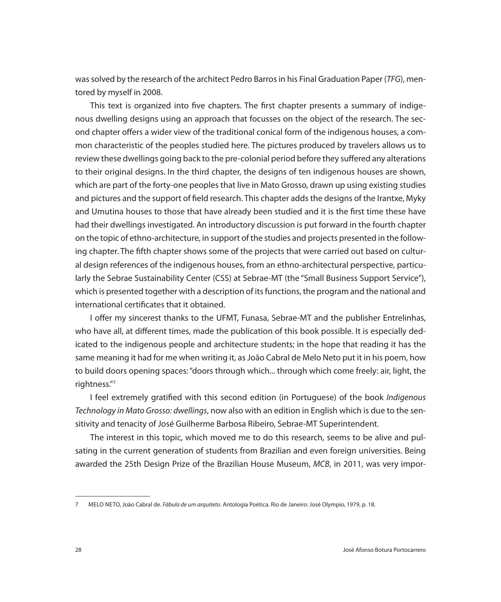was solved by the research of the architect Pedro Barros in his Final Graduation Paper (*TFG*), mentored by myself in 2008.

This text is organized into five chapters. The first chapter presents a summary of indigenous dwelling designs using an approach that focusses on the object of the research. The second chapter offers a wider view of the traditional conical form of the indigenous houses, a common characteristic of the peoples studied here. The pictures produced by travelers allows us to review these dwellings going back to the pre-colonial period before they suffered any alterations to their original designs. In the third chapter, the designs of ten indigenous houses are shown, which are part of the forty-one peoples that live in Mato Grosso, drawn up using existing studies and pictures and the support of field research. This chapter adds the designs of the Irantxe, Myky and Umutina houses to those that have already been studied and it is the first time these have had their dwellings investigated. An introductory discussion is put forward in the fourth chapter on the topic of ethno-architecture, in support of the studies and projects presented in the following chapter. The fifth chapter shows some of the projects that were carried out based on cultural design references of the indigenous houses, from an ethno-architectural perspective, particularly the Sebrae Sustainability Center (CSS) at Sebrae-MT (the "Small Business Support Service"), which is presented together with a description of its functions, the program and the national and international certificates that it obtained.

I offer my sincerest thanks to the UFMT, Funasa, Sebrae-MT and the publisher Entrelinhas, who have all, at different times, made the publication of this book possible. It is especially dedicated to the indigenous people and architecture students; in the hope that reading it has the same meaning it had for me when writing it, as João Cabral de Melo Neto put it in his poem, how to build doors opening spaces: "doors through which... through which come freely: air, light, the rightness."7

I feel extremely gratified with this second edition (in Portuguese) of the book *Indigenous Technology in Mato Grosso: dwellings*, now also with an edition in English which is due to the sensitivity and tenacity of José Guilherme Barbosa Ribeiro, Sebrae-MT Superintendent.

The interest in this topic, which moved me to do this research, seems to be alive and pulsating in the current generation of students from Brazilian and even foreign universities. Being awarded the 25th Design Prize of the Brazilian House Museum, *MCB*, in 2011, was very impor-

<sup>7</sup> MELO NETO, João Cabral de. *Fábula de um arquiteto*. Antologia Poética. Rio de Janeiro: José Olympio, 1979, p. 18.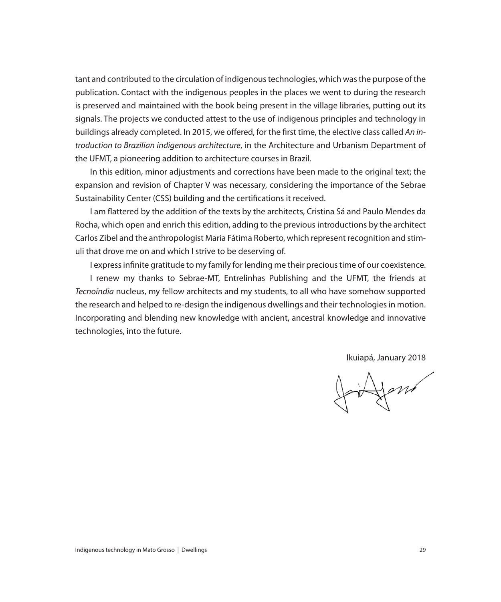tant and contributed to the circulation of indigenous technologies, which was the purpose of the publication. Contact with the indigenous peoples in the places we went to during the research is preserved and maintained with the book being present in the village libraries, putting out its signals. The projects we conducted attest to the use of indigenous principles and technology in buildings already completed. In 2015, we offered, for the first time, the elective class called *An introduction to Brazilian indigenous architecture*, in the Architecture and Urbanism Department of the UFMT, a pioneering addition to architecture courses in Brazil.

In this edition, minor adjustments and corrections have been made to the original text; the expansion and revision of Chapter V was necessary, considering the importance of the Sebrae Sustainability Center (CSS) building and the certifications it received.

I am flattered by the addition of the texts by the architects, Cristina Sá and Paulo Mendes da Rocha, which open and enrich this edition, adding to the previous introductions by the architect Carlos Zibel and the anthropologist Maria Fátima Roberto, which represent recognition and stimuli that drove me on and which I strive to be deserving of.

I express infinite gratitude to my family for lending me their precious time of our coexistence. I renew my thanks to Sebrae-MT, Entrelinhas Publishing and the UFMT, the friends at *Tecnoíndia* nucleus, my fellow architects and my students, to all who have somehow supported the research and helped to re-design the indigenous dwellings and their technologies in motion. Incorporating and blending new knowledge with ancient, ancestral knowledge and innovative technologies, into the future.

Ikuiapá, January 2018

inform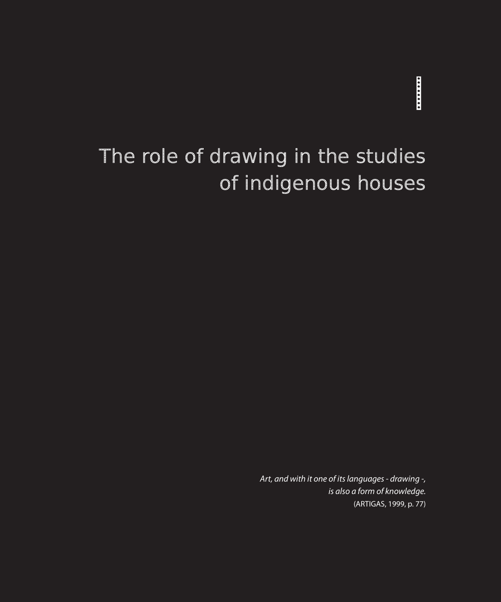# **INSTERNET**

## The role of drawing in the studies of indigenous houses

*Art, and with it one of its languages - drawing -, is also a form of knowledge.* (ARTIGAS, 1999, p. 77)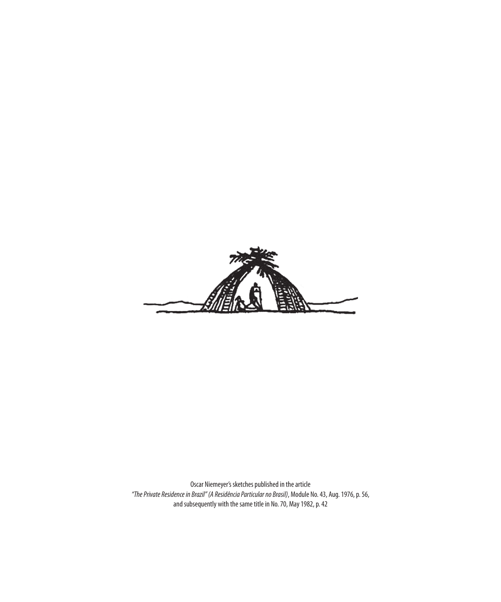

Oscar Niemeyer's sketches published in the article *"The Private Residence in Brazil" (A Residência Particular no Brasil)*, Module No. 43, Aug. 1976, p. 56, and subsequently with the same title in No. 70, May 1982, p. 42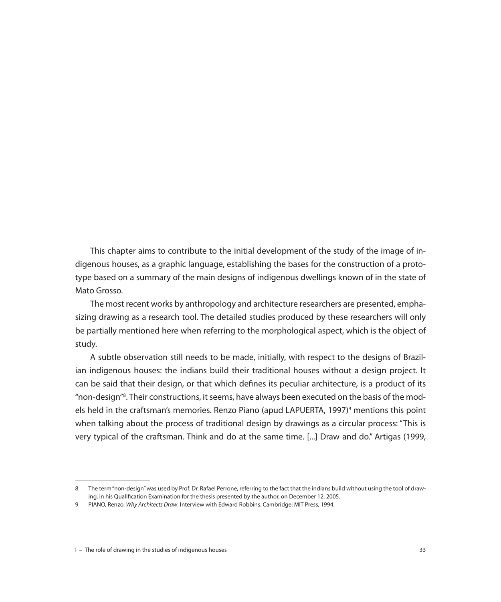This chapter aims to contribute to the initial development of the study of the image of indigenous houses, as a graphic language, establishing the bases for the construction of a prototype based on a summary of the main designs of indigenous dwellings known of in the state of Mato Grosso.

The most recent works by anthropology and architecture researchers are presented, emphasizing drawing as a research tool. The detailed studies produced by these researchers will only be partially mentioned here when referring to the morphological aspect, which is the object of study.

A subtle observation still needs to be made, initially, with respect to the designs of Brazilian indigenous houses: the indians build their traditional houses without a design project. It can be said that their design, or that which defines its peculiar architecture, is a product of its "non-design"<sup>8</sup>. Their constructions, it seems, have always been executed on the basis of the models held in the craftsman's memories. Renzo Piano (apud LAPUERTA, 1997)<sup>9</sup> mentions this point when talking about the process of traditional design by drawings as a circular process: "This is very typical of the craftsman. Think and do at the same time. [...] Draw and do." Artigas (1999,

<sup>8</sup> The term "non-design" was used by Prof. Dr. Rafael Perrone, referring to the fact that the indians build without using the tool of drawing, in his Qualification Examination for the thesis presented by the author, on December 12, 2005.

<sup>9</sup> PIANO, Renzo. *Why Architects Draw*. Interview with Edward Robbins. Cambridge: MIT Press, 1994.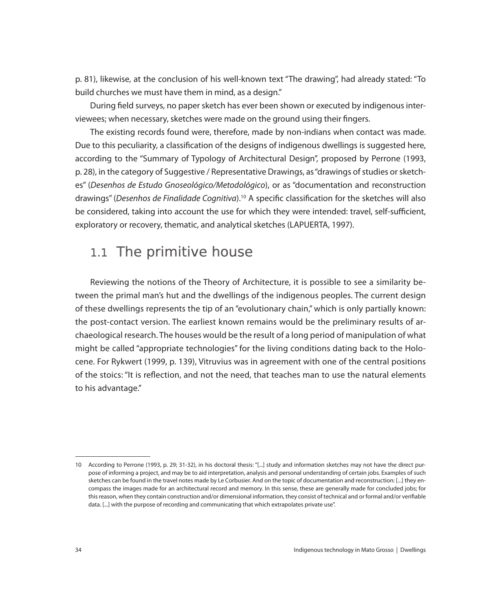p. 81), likewise, at the conclusion of his well-known text "The drawing", had already stated: "To build churches we must have them in mind, as a design."

During field surveys, no paper sketch has ever been shown or executed by indigenous interviewees; when necessary, sketches were made on the ground using their fingers.

The existing records found were, therefore, made by non-indians when contact was made. Due to this peculiarity, a classification of the designs of indigenous dwellings is suggested here, according to the "Summary of Typology of Architectural Design", proposed by Perrone (1993, p. 28), in the category of Suggestive / Representative Drawings, as "drawings of studies or sketches" (*Desenhos de Estudo Gnoseológico/Metodológico*), or as "documentation and reconstruction drawings" (*Desenhos de Finalidade Cognitiva*).10 A specific classification for the sketches will also be considered, taking into account the use for which they were intended: travel, self-sufficient, exploratory or recovery, thematic, and analytical sketches (LAPUERTA, 1997).

#### 1.1 The primitive house

Reviewing the notions of the Theory of Architecture, it is possible to see a similarity between the primal man's hut and the dwellings of the indigenous peoples. The current design of these dwellings represents the tip of an "evolutionary chain," which is only partially known: the post-contact version. The earliest known remains would be the preliminary results of archaeological research. The houses would be the result of a long period of manipulation of what might be called "appropriate technologies" for the living conditions dating back to the Holocene. For Rykwert (1999, p. 139), Vitruvius was in agreement with one of the central positions of the stoics: "It is reflection, and not the need, that teaches man to use the natural elements to his advantage."

<sup>10</sup> According to Perrone (1993, p. 29; 31-32), in his doctoral thesis: "[...] study and information sketches may not have the direct purpose of informing a project, and may be to aid interpretation, analysis and personal understanding of certain jobs. Examples of such sketches can be found in the travel notes made by Le Corbusier. And on the topic of documentation and reconstruction: [...] they encompass the images made for an architectural record and memory. In this sense, these are generally made for concluded jobs; for this reason, when they contain construction and/or dimensional information, they consist of technical and or formal and/or verifiable data. [...] with the purpose of recording and communicating that which extrapolates private use".